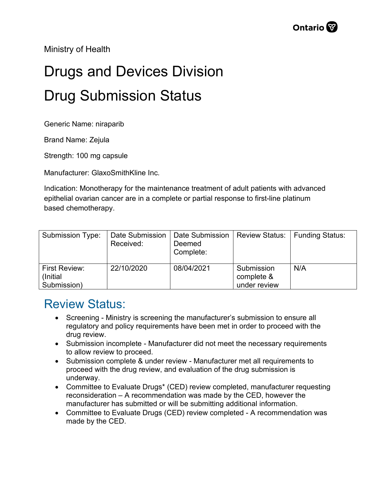Ministry of Health

## Drugs and Devices Division Drug Submission Status

Generic Name: niraparib

Brand Name: Zejula

Strength: 100 mg capsule

Manufacturer: GlaxoSmithKline Inc.

Indication: Monotherapy for the maintenance treatment of adult patients with advanced epithelial ovarian cancer are in a complete or partial response to first-line platinum based chemotherapy.

| Submission Type:                                 | Date Submission<br>Received: | Date Submission<br>Deemed<br>Complete: | <b>Review Status:</b>                    | <b>Funding Status:</b> |
|--------------------------------------------------|------------------------------|----------------------------------------|------------------------------------------|------------------------|
| <b>First Review:</b><br>(Initial)<br>Submission) | 22/10/2020                   | 08/04/2021                             | Submission<br>complete &<br>under review | N/A                    |

## Review Status:

- Screening Ministry is screening the manufacturer's submission to ensure all regulatory and policy requirements have been met in order to proceed with the drug review.
- Submission incomplete Manufacturer did not meet the necessary requirements to allow review to proceed.
- Submission complete & under review Manufacturer met all requirements to proceed with the drug review, and evaluation of the drug submission is underway.
- Committee to Evaluate Drugs\* (CED) review completed, manufacturer requesting reconsideration – A recommendation was made by the CED, however the manufacturer has submitted or will be submitting additional information.
- Committee to Evaluate Drugs (CED) review completed A recommendation was made by the CED.